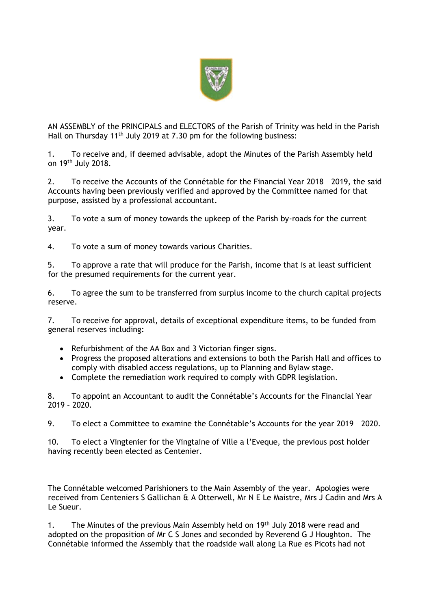

AN ASSEMBLY of the PRINCIPALS and ELECTORS of the Parish of Trinity was held in the Parish Hall on Thursday 11<sup>th</sup> July 2019 at 7.30 pm for the following business:

1. To receive and, if deemed advisable, adopt the Minutes of the Parish Assembly held on 19<sup>th</sup> July 2018.

2. To receive the Accounts of the Connétable for the Financial Year 2018 – 2019, the said Accounts having been previously verified and approved by the Committee named for that purpose, assisted by a professional accountant.

3. To vote a sum of money towards the upkeep of the Parish by-roads for the current year.

4. To vote a sum of money towards various Charities.

5. To approve a rate that will produce for the Parish, income that is at least sufficient for the presumed requirements for the current year.

6. To agree the sum to be transferred from surplus income to the church capital projects reserve.

7. To receive for approval, details of exceptional expenditure items, to be funded from general reserves including:

- Refurbishment of the AA Box and 3 Victorian finger signs.
- Progress the proposed alterations and extensions to both the Parish Hall and offices to comply with disabled access regulations, up to Planning and Bylaw stage.
- Complete the remediation work required to comply with GDPR legislation.

8. To appoint an Accountant to audit the Connétable's Accounts for the Financial Year 2019 – 2020.

9. To elect a Committee to examine the Connétable's Accounts for the year 2019 – 2020.

10. To elect a Vingtenier for the Vingtaine of Ville a l'Eveque, the previous post holder having recently been elected as Centenier.

The Connétable welcomed Parishioners to the Main Assembly of the year. Apologies were received from Centeniers S Gallichan & A Otterwell, Mr N E Le Maistre, Mrs J Cadin and Mrs A Le Sueur.

1. The Minutes of the previous Main Assembly held on 19<sup>th</sup> July 2018 were read and adopted on the proposition of Mr C S Jones and seconded by Reverend G J Houghton. The Connétable informed the Assembly that the roadside wall along La Rue es Picots had not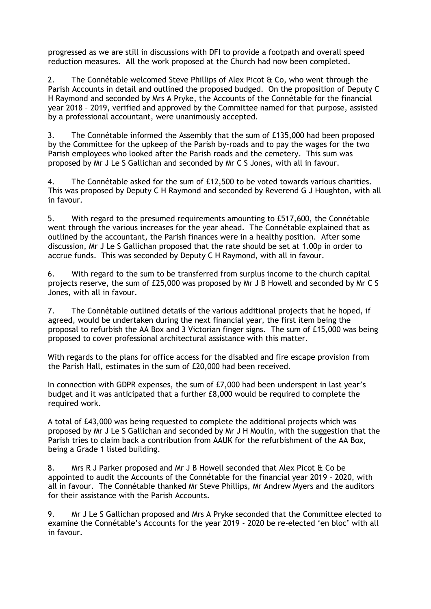progressed as we are still in discussions with DFI to provide a footpath and overall speed reduction measures. All the work proposed at the Church had now been completed.

2. The Connétable welcomed Steve Phillips of Alex Picot & Co, who went through the Parish Accounts in detail and outlined the proposed budged. On the proposition of Deputy C H Raymond and seconded by Mrs A Pryke, the Accounts of the Connétable for the financial year 2018 – 2019, verified and approved by the Committee named for that purpose, assisted by a professional accountant, were unanimously accepted.

3. The Connétable informed the Assembly that the sum of £135,000 had been proposed by the Committee for the upkeep of the Parish by-roads and to pay the wages for the two Parish employees who looked after the Parish roads and the cemetery. This sum was proposed by Mr J Le S Gallichan and seconded by Mr C S Jones, with all in favour.

4. The Connétable asked for the sum of £12,500 to be voted towards various charities. This was proposed by Deputy C H Raymond and seconded by Reverend G J Houghton, with all in favour.

5. With regard to the presumed requirements amounting to £517,600, the Connétable went through the various increases for the year ahead. The Connétable explained that as outlined by the accountant, the Parish finances were in a healthy position. After some discussion, Mr J Le S Gallichan proposed that the rate should be set at 1.00p in order to accrue funds. This was seconded by Deputy C H Raymond, with all in favour.

6. With regard to the sum to be transferred from surplus income to the church capital projects reserve, the sum of £25,000 was proposed by Mr J B Howell and seconded by Mr C S Jones, with all in favour.

7. The Connétable outlined details of the various additional projects that he hoped, if agreed, would be undertaken during the next financial year, the first item being the proposal to refurbish the AA Box and 3 Victorian finger signs. The sum of £15,000 was being proposed to cover professional architectural assistance with this matter.

With regards to the plans for office access for the disabled and fire escape provision from the Parish Hall, estimates in the sum of £20,000 had been received.

In connection with GDPR expenses, the sum of £7,000 had been underspent in last year's budget and it was anticipated that a further £8,000 would be required to complete the required work.

A total of £43,000 was being requested to complete the additional projects which was proposed by Mr J Le S Gallichan and seconded by Mr J H Moulin, with the suggestion that the Parish tries to claim back a contribution from AAUK for the refurbishment of the AA Box, being a Grade 1 listed building.

8. Mrs R J Parker proposed and Mr J B Howell seconded that Alex Picot & Co be appointed to audit the Accounts of the Connétable for the financial year 2019 – 2020, with all in favour. The Connétable thanked Mr Steve Phillips, Mr Andrew Myers and the auditors for their assistance with the Parish Accounts.

9. Mr J Le S Gallichan proposed and Mrs A Pryke seconded that the Committee elected to examine the Connétable's Accounts for the year 2019 - 2020 be re-elected 'en bloc' with all in favour.